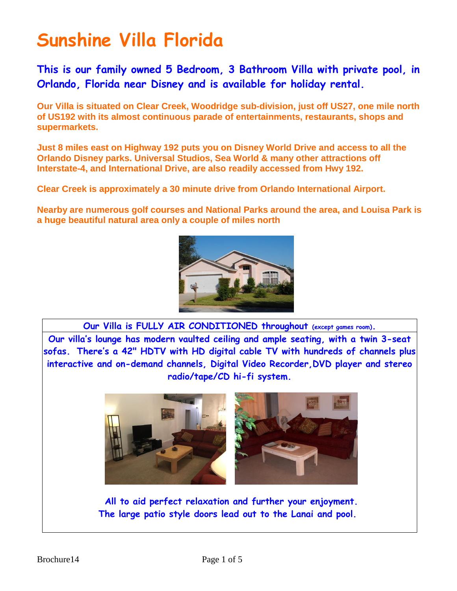**This is our family owned 5 Bedroom, 3 Bathroom Villa with private pool, in Orlando, Florida near Disney and is available for holiday rental.**

**Our Villa is situated on Clear Creek, Woodridge sub-division, just off US27, one mile north of US192 with its almost continuous parade of entertainments, restaurants, shops and supermarkets.**

**Just 8 miles east on Highway 192 puts you on Disney World Drive and access to all the Orlando Disney parks. Universal Studios, Sea World & many other attractions off Interstate-4, and International Drive, are also readily accessed from Hwy 192.**

**Clear Creek is approximately a 30 minute drive from Orlando International Airport.**

**Nearby are numerous golf courses and National Parks around the area, and Louisa Park is a huge beautiful natural area only a couple of miles north**



**Our Villa is FULLY AIR CONDITIONED throughout (except games room). Our villa's lounge has modern vaulted ceiling and ample seating, with a twin 3-seat sofas. There's a 42" HDTV with HD digital cable TV with hundreds of channels plus interactive and on-demand channels, Digital Video Recorder,DVD player and stereo radio/tape/CD hi-fi system.**



**All to aid perfect relaxation and further your enjoyment. The large patio style doors lead out to the Lanai and pool.**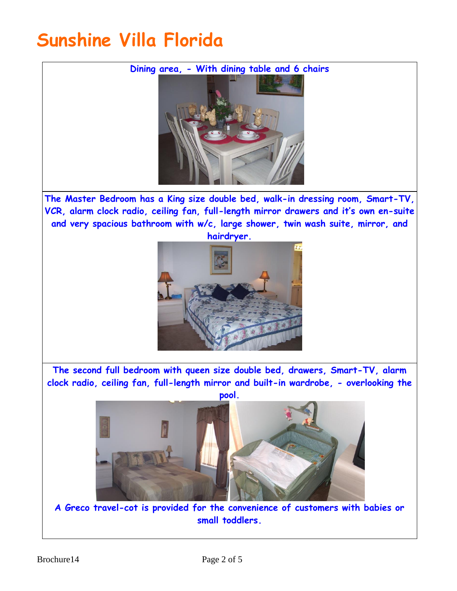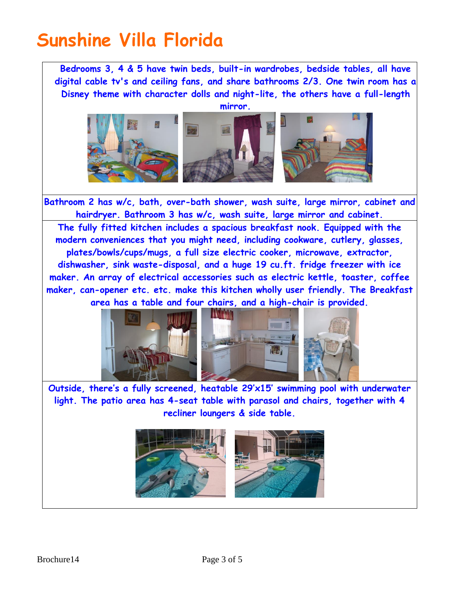**Bedrooms 3, 4 & 5 have twin beds, built-in wardrobes, bedside tables, all have digital cable tv's and ceiling fans, and share bathrooms 2/3. One twin room has a Disney theme with character dolls and night-lite, the others have a full-length** 



**Bathroom 2 has w/c, bath, over-bath shower, wash suite, large mirror, cabinet and hairdryer. Bathroom 3 has w/c, wash suite, large mirror and cabinet. The fully fitted kitchen includes a spacious breakfast nook. Equipped with the modern conveniences that you might need, including cookware, cutlery, glasses, plates/bowls/cups/mugs, a full size electric cooker, microwave, extractor, dishwasher, sink waste-disposal, and a huge 19 cu.ft. fridge freezer with ice maker. An array of electrical accessories such as electric kettle, toaster, coffee maker, can-opener etc. etc. make this kitchen wholly user friendly. The Breakfast area has a table and four chairs, and a high-chair is provided.**





**Outside, there's a fully screened, heatable 29'x15' swimming pool with underwater light. The patio area has 4-seat table with parasol and chairs, together with 4 recliner loungers & side table.**

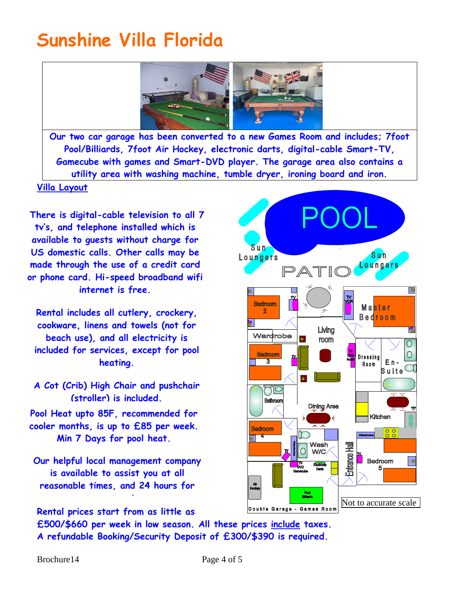

**Our two car garage has been converted to a new Games Room and includes; 7foot Pool/Billiards, 7foot Air Hockey, electronic darts, digital-cable Smart-TV, Gamecube with games and Smart-DVD player. The garage area also contains a utility area with washing machine, tumble dryer, ironing board and iron.**

#### **Villa Layout**

**There is digital-cable television to all 7 tv's, and telephone installed which is available to guests without charge for US domestic calls. Other calls may be made through the use of a credit card or phone card. Hi-speed broadband wifi internet is free.**

**Rental includes all cutlery, crockery, cookware, linens and towels (not for beach use), and all electricity is included for services, except for pool heating.**

**A Cot (Crib) High Chair and pushchair (stroller) is included.**

**Pool Heat upto 85F, recommended for cooler months, is up to £85 per week. Min 7 Days for pool heat.**

**Our helpful local management company is available to assist you at all reasonable times, and 24 hours for** 

Sun Sun Loungers Loungers  $PATI$  $\boxed{\bullet}$ **Bedroom** Master **Bedroom**  $\overline{\mathbf{s}}$  . Living r. Wardrobe room  $\overline{O}$ Bedroom  $\circ$ **DVD** Dressing  $\overline{\mathbf{3}}$  $E<sub>n</sub>$ Room  $\bar{\mathsf{s}}$ uite $\circlearrowleft$  $\bigcap\bigcirc$ Bathroom **Dining Area** Kitchen Bedroom  $\frac{0}{0}$  $\overline{\bullet}$   $\overline{\bullet}$ Wash **Hall**  $\bigcirc$ **W/C** Entrance H Bedroom  $\bullet$ Pool Not to accurate scaleDouble Garage - Games Room

**Rental prices start from as little as emergencies**

**£500/\$660 per week in low season. All these prices include taxes. A refundable Booking/Security Deposit of £300/\$390 is required.**